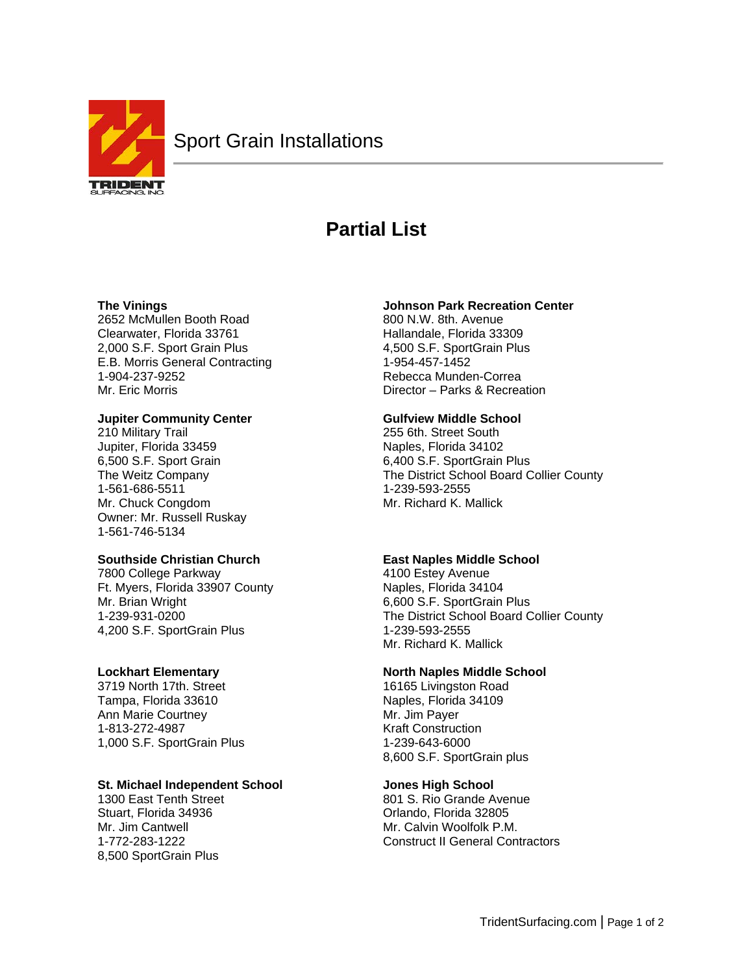

# **Partial List**

## **The Vinings**

2652 McMullen Booth Road Clearwater, Florida 33761 2,000 S.F. Sport Grain Plus E.B. Morris General Contracting 1-904-237-9252 Mr. Eric Morris

# **Jupiter Community Center**

210 Military Trail Jupiter, Florida 33459 6,500 S.F. Sport Grain The Weitz Company 1-561-686-5511 Mr. Chuck Congdom Owner: Mr. Russell Ruskay 1-561-746-5134

# **Southside Christian Church**

7800 College Parkway Ft. Myers, Florida 33907 County Mr. Brian Wright 1-239-931-0200 4,200 S.F. SportGrain Plus

# **Lockhart Elementary**

3719 North 17th. Street Tampa, Florida 33610 Ann Marie Courtney 1-813-272-4987 1,000 S.F. SportGrain Plus

# **St. Michael Independent School**

1300 East Tenth Street Stuart, Florida 34936 Mr. Jim Cantwell 1-772-283-1222 8,500 SportGrain Plus

## **Johnson Park Recreation Center**

800 N.W. 8th. Avenue Hallandale, Florida 33309 4,500 S.F. SportGrain Plus 1-954-457-1452 Rebecca Munden-Correa Director – Parks & Recreation

## **Gulfview Middle School**

255 6th. Street South Naples, Florida 34102 6,400 S.F. SportGrain Plus The District School Board Collier County 1-239-593-2555 Mr. Richard K. Mallick

# **East Naples Middle School**

4100 Estey Avenue Naples, Florida 34104 6,600 S.F. SportGrain Plus The District School Board Collier County 1-239-593-2555 Mr. Richard K. Mallick

# **North Naples Middle School**

16165 Livingston Road Naples, Florida 34109 Mr. Jim Payer Kraft Construction 1-239-643-6000 8,600 S.F. SportGrain plus

# **Jones High School**

801 S. Rio Grande Avenue Orlando, Florida 32805 Mr. Calvin Woolfolk P.M. Construct II General Contractors